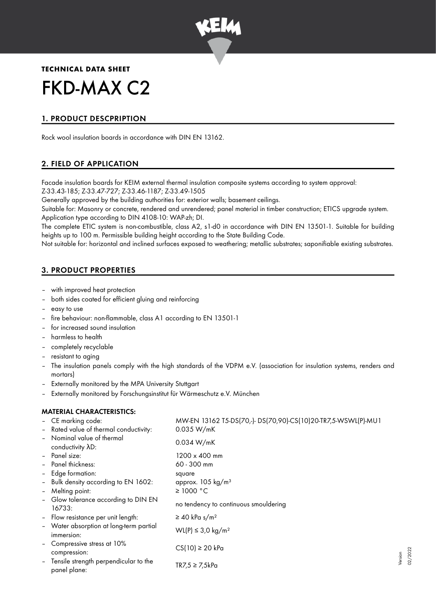

## **TECHNICAL DATA SHEET**

# FKD-MAX C2

# 1. PRODUCT DESCPRIPTION

Rock wool insulation boards in accordance with DIN EN 13162.

# 2. FIELD OF APPLICATION

Facade insulation boards for KEIM external thermal insulation composite systems according to system approval: Z-33.43-185; Z-33.47-727; Z-33.46-1187; Z-33.49-1505

Generally approved by the building authorities for: exterior walls; basement ceilings.

Suitable for: Masonry or concrete, rendered and unrendered; panel material in timber construction; ETICS upgrade system. Application type according to DIN 4108-10: WAP-zh; DI.

The complete ETIC system is non-combustible, class A2, s1-d0 in accordance with DIN EN 13501-1. Suitable for building heights up to 100 m. Permissible building height according to the State Building Code.

Not suitable for: horizontal and inclined surfaces exposed to weathering; metallic substrates; saponifiable existing substrates.

# 3. PRODUCT PROPERTIES

- with improved heat protection
- both sides coated for efficient gluing and reinforcing
- easy to use
- fire behaviour: non-flammable, class A1 according to EN 13501-1
- for increased sound insulation
- harmless to health
- completely recyclable
- resistant to aging
- The insulation panels comply with the high standards of the VDPM e.V. (association for insulation systems, renders and mortars)
- Externally monitored by the MPA University Stuttgart
- Externally monitored by Forschungsinstitut für Wärmeschutz e.V. München

## MATERIAL CHARACTERISTICS:

|                          | - CE marking code:                                    | MW-EN 13162 T5-DS(70,-)- DS(70,90)-CS(10)20-TR7,5-WSWL(P)-MU1 |
|--------------------------|-------------------------------------------------------|---------------------------------------------------------------|
|                          | - Rated value of thermal conductivity:                | 0.035 W/mK                                                    |
| $\overline{\phantom{a}}$ | Nominal value of thermal<br>conductivity AD:          | 0.034 W/mK                                                    |
|                          | - Panel size:                                         | 1200 x 400 mm                                                 |
| $\qquad \qquad -$        | Panel thickness:                                      | 60 - 300 mm                                                   |
|                          | - Edge formation:                                     | square                                                        |
|                          | - Bulk density according to EN 1602:                  | approx. 105 kg/m <sup>3</sup>                                 |
| -                        | Melting point:                                        | $\geq$ 1000 °C                                                |
|                          | Glow tolerance according to DIN EN<br>16733:          | no tendency to continuous smouldering                         |
| $\blacksquare$           | Flow resistance per unit length:                      | $\geq$ 40 kPa s/m <sup>2</sup>                                |
|                          | - Water absorption at long-term partial<br>immersion: | WL(P) ≤ 3,0 kg/m <sup>2</sup>                                 |
|                          | Compressive stress at 10%<br>compression:             | $CS(10) \ge 20$ kPa                                           |
|                          | Tensile strength perpendicular to the<br>panel plane: | $TR7.5 \geq 7.5kPa$                                           |

Version 02/2022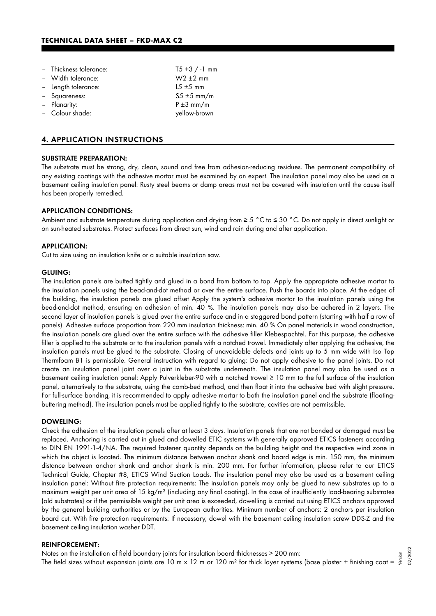| - Thickness tolerance: | $T5 + 3 / -1$ mm |
|------------------------|------------------|
| - Width tolerance:     | $W2 \pm 2$ mm    |
| - Length tolerance:    | $15 \pm 5$ mm    |
| - Squareness:          | $55 \pm 5$ mm/m  |
| - Planarity:           | $P \pm 3$ mm/m   |
| - Colour shade:        | yellow-brown     |

## 4. APPLICATION INSTRUCTIONS

#### SUBSTRATE PREPARATION:

The substrate must be strong, dry, clean, sound and free from adhesion-reducing residues. The permanent compatibility of any existing coatings with the adhesive mortar must be examined by an expert. The insulation panel may also be used as a basement ceiling insulation panel: Rusty steel beams or damp areas must not be covered with insulation until the cause itself has been properly remedied.

#### APPLICATION CONDITIONS:

Ambient and substrate temperature during application and drying from ≥ 5 °C to ≤ 30 °C. Do not apply in direct sunlight or on sun-heated substrates. Protect surfaces from direct sun, wind and rain during and after application.

#### APPLICATION:

Cut to size using an insulation knife or a suitable insulation saw.

#### GLUING:

The insulation panels are butted tightly and glued in a bond from bottom to top. Apply the appropriate adhesive mortar to the insulation panels using the bead-and-dot method or over the entire surface. Push the boards into place. At the edges of the building, the insulation panels are glued offset Apply the system's adhesive mortar to the insulation panels using the bead-and-dot method, ensuring an adhesion of min. 40 %. The insulation panels may also be adhered in 2 layers. The second layer of insulation panels is glued over the entire surface and in a staggered bond pattern (starting with half a row of panels). Adhesive surface proportion from 220 mm insulation thickness: min. 40 % On panel materials in wood construction, the insulation panels are glued over the entire surface with the adhesive filler Klebespachtel. For this purpose, the adhesive filler is applied to the substrate or to the insulation panels with a notched trowel. Immediately after applying the adhesive, the insulation panels must be glued to the substrate. Closing of unavoidable defects and joints up to 5 mm wide with Iso Top Thermfoam B1 is permissible. General instruction with regard to gluing: Do not apply adhesive to the panel joints. Do not create an insulation panel joint over a joint in the substrate underneath. The insulation panel may also be used as a basement ceiling insulation panel: Apply Pulverkleber-90 with a notched trowel ≥ 10 mm to the full surface of the insulation panel, alternatively to the substrate, using the comb-bed method, and then float it into the adhesive bed with slight pressure. For full-surface bonding, it is recommended to apply adhesive mortar to both the insulation panel and the substrate (floatingbuttering method). The insulation panels must be applied tightly to the substrate, cavities are not permissible.

#### DOWELING:

Check the adhesion of the insulation panels after at least 3 days. Insulation panels that are not bonded or damaged must be replaced. Anchoring is carried out in glued and dowelled ETIC systems with generally approved ETICS fasteners according to DIN EN 1991-1-4/NA. The required fastener quantity depends on the building height and the respective wind zone in which the object is located. The minimum distance between anchor shank and board edge is min. 150 mm, the minimum distance between anchor shank and anchor shank is min. 200 mm. For further information, please refer to our ETICS Technical Guide, Chapter #8, ETICS Wind Suction Loads. The insulation panel may also be used as a basement ceiling insulation panel: Without fire protection requirements: The insulation panels may only be glued to new substrates up to a maximum weight per unit area of 15 kg/m² (including any final coating). In the case of insufficiently load-bearing substrates (old substrates) or if the permissible weight per unit area is exceeded, dowelling is carried out using ETICS anchors approved by the general building authorities or by the European authorities. Minimum number of anchors: 2 anchors per insulation board cut. With fire protection requirements: If necessary, dowel with the basement ceiling insulation screw DDS-Z and the basement ceiling insulation washer DDT.

## REINFORCEMENT:

Notes on the installation of field boundary joints for insulation board thicknesses > 200 mm: The field sizes without expansion joints are 10 m x 12 m or 120 m<sup>2</sup> for thick layer systems (base plaster + finishing coat = Version 02/2022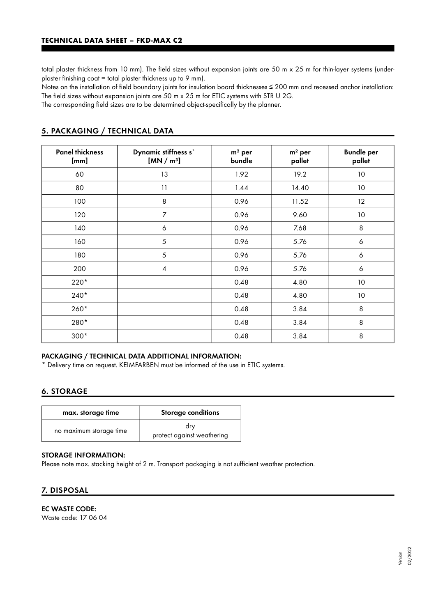total plaster thickness from 10 mm). The field sizes without expansion joints are 50 m x 25 m for thin-layer systems (underplaster finishing coat = total plaster thickness up to 9 mm).

Notes on the installation of field boundary joints for insulation board thicknesses ≤ 200 mm and recessed anchor installation: The field sizes without expansion joints are 50 m x 25 m for ETIC systems with STR U 2G.

The corresponding field sizes are to be determined object-specifically by the planner.

| <b>Panel thickness</b><br>[mm] | Dynamic stiffness s'<br>[MN/m <sup>3</sup> ] | $m2$ per<br>bundle | $m2$ per<br>pallet | <b>Bundle per</b><br>pallet |
|--------------------------------|----------------------------------------------|--------------------|--------------------|-----------------------------|
| 60                             | 13                                           | 1.92               | 19.2               | 10 <sup>°</sup>             |
| 80                             | 11                                           | 1.44               | 14.40              | 10                          |
| 100                            | 8                                            | 0.96               | 11.52              | 12                          |
| 120                            | 7                                            | 0.96               | 9.60               | 10                          |
| 140                            | 6                                            | 0.96               | 7.68               | 8                           |
| 160                            | 5                                            | 0.96               | 5.76               | 6                           |
| 180                            | 5                                            | 0.96               | 5.76               | 6                           |
| 200                            | $\overline{\mathcal{A}}$                     | 0.96               | 5.76               | 6                           |
| $220*$                         |                                              | 0.48               | 4.80               | 10                          |
| $240*$                         |                                              | 0.48               | 4.80               | $10$                        |
| 260*                           |                                              | 0.48               | 3.84               | 8                           |
| 280*                           |                                              | 0.48               | 3.84               | 8                           |
| $300*$                         |                                              | 0.48               | 3.84               | 8                           |

## 5. PACKAGING / TECHNICAL DATA

## PACKAGING / TECHNICAL DATA ADDITIONAL INFORMATION:

\* Delivery time on request. KEIMFARBEN must be informed of the use in ETIC systems.

## 6. STORAGE

| max. storage time       | <b>Storage conditions</b>         |  |  |
|-------------------------|-----------------------------------|--|--|
| no maximum storage time | dry<br>protect against weathering |  |  |

## STORAGE INFORMATION:

Please note max. stacking height of 2 m. Transport packaging is not sufficient weather protection.

## 7. DISPOSAL

# EC WASTE CODE:

Waste code: 17 06 04